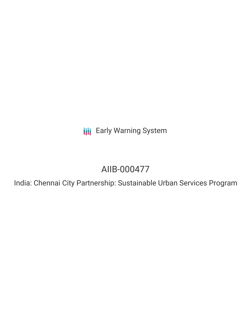**III** Early Warning System

# AIIB-000477

India: Chennai City Partnership: Sustainable Urban Services Program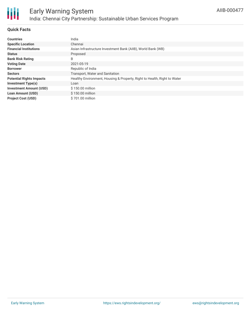

# **Quick Facts**

| <b>Countries</b>                | India                                                                    |
|---------------------------------|--------------------------------------------------------------------------|
| <b>Specific Location</b>        | Chennai                                                                  |
| <b>Financial Institutions</b>   | Asian Infrastructure Investment Bank (AIIB), World Bank (WB)             |
| <b>Status</b>                   | Proposed                                                                 |
| <b>Bank Risk Rating</b>         | B                                                                        |
| <b>Voting Date</b>              | 2021-05-19                                                               |
| <b>Borrower</b>                 | Republic of India                                                        |
| <b>Sectors</b>                  | Transport, Water and Sanitation                                          |
| <b>Potential Rights Impacts</b> | Healthy Environment, Housing & Property, Right to Health, Right to Water |
| <b>Investment Type(s)</b>       | Loan                                                                     |
| <b>Investment Amount (USD)</b>  | \$150.00 million                                                         |
| <b>Loan Amount (USD)</b>        | $$150.00$ million                                                        |
| <b>Project Cost (USD)</b>       | \$701.00 million                                                         |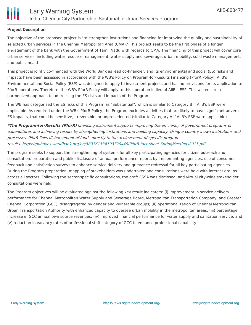

# **Project Description**

The objective of the proposed project is "to strengthen institutions and financing for improving the quality and sustainability of selected urban services in the Chennai Metropolitan Area (CMA)." This project seeks to be the first phase of a longer engagement of the bank with the Government of Tamil Nadu with regards to CMA. The financing of this project will cover core urban services, including water resource management, water supply and sewerage, urban mobility, solid waste management, and public health.

This project is jointly co-financed with the World Bank as lead co-financier, and its environmental and social (ES) risks and impacts have been assessed in accordance with the WB's Policy on Program-for-Results Financing (PforR Policy). AIIB's Environmental and Social Policy (ESP) was designed to apply to investment projects and has no provisions for its application to PforR operations. Therefore, the WB's PforR Policy will apply to this operation in lieu of AIIB's ESP. This will ensure a harmonized approach to addressing the ES risks and impacts of the Program.

The WB has categorized the ES risks of this Program as "Substantial", which is similar to Category B if AIIB's ESP were applicable. As required under the WB's PforR Policy, the Program excludes activities that are likely to have significant adverse ES impacts, that could be sensitive, irreversible, or unprecedented (similar to Category A if AIIB's ESP were applicable).

**\*The Program-for-Results (PforR)** financing instrument supports improving the efficiency of government programs of expenditures and achieving results by strengthening institutions and building capacity. Using <sup>a</sup> country's own institutions and processes, PforR links disbursement of funds directly to the achievement of specific program results. <https://pubdocs.worldbank.org/en/583761534193720449/PforR-fact-sheet-SpringMeetings2015.pdf>

The program seeks to support the strengthening of systems for all key participating agencies for citizen outreach and consultation, preparation and public disclosure of annual performance reports by implementing agencies, use of consumer feedback and satisfaction surveys to enhance service delivery and grievance redressal for all key participating agencies. During the Program preparation, mapping of stakeholders was undertaken and consultations were held with interest groups across all sectors. Following the sector-specific consultations, the draft ESSA was disclosed, and virtual city-wide stakeholder consultations were held.

The Program objectives will be evaluated against the following key result indicators: (i) improvement in service delivery performance for Chennai Metropolitan Water Supply and Sewerage Board, Metropolitan Transportation Company, and Greater Chennai Corporation (GCC), disaggregated by gender and vulnerable groups; (ii) operationalization of Chennai Metropolitan Urban Transportation Authority with enhanced capacity to oversee urban mobility in the metropolitan areas; (iii) percentage increase in GCC annual own source revenues; (iv) improved financial performance for water supply and sanitation service; and (v) reduction in vacancy rates of professional staff category of GCC to enhance professional capability.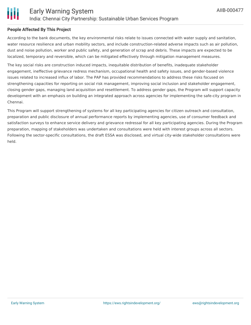

# **People Affected By This Project**

According to the bank documents, the key environmental risks relate to issues connected with water supply and sanitation, water resource resilience and urban mobility sectors, and include construction-related adverse impacts such as air pollution, dust and noise pollution, worker and public safety, and generation of scrap and debris. These impacts are expected to be localized, temporary and reversible, which can be mitigated effectively through mitigation management measures.

The key social risks are construction induced impacts, inequitable distribution of benefits, inadequate stakeholder engagement, ineffective grievance redress mechanism, occupational health and safety issues, and gender-based violence issues related to increased influx of labor. The PAP has provided recommendations to address these risks focused on strengthening capacities for reporting on social risk management, improving social inclusion and stakeholder engagement, closing gender gaps, managing land acquisition and resettlement. To address gender gaps, the Program will support capacity development with an emphasis on building an integrated approach across agencies for implementing the safe-city program in Chennai.

This Program will support strengthening of systems for all key participating agencies for citizen outreach and consultation, preparation and public disclosure of annual performance reports by implementing agencies, use of consumer feedback and satisfaction surveys to enhance service delivery and grievance redressal for all key participating agencies. During the Program preparation, mapping of stakeholders was undertaken and consultations were held with interest groups across all sectors. Following the sector-specific consultations, the draft ESSA was disclosed, and virtual city-wide stakeholder consultations were held.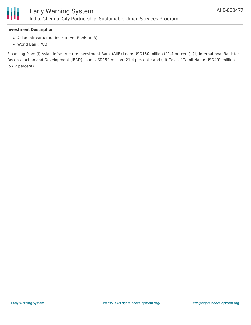

### **Investment Description**

- Asian Infrastructure Investment Bank (AIIB)
- World Bank (WB)

Financing Plan: (i) Asian Infrastructure Investment Bank (AIIB) Loan: USD150 million (21.4 percent); (ii) International Bank for Reconstruction and Development (IBRD) Loan: USD150 million (21.4 percent); and (iii) Govt of Tamil Nadu: USD401 million (57.2 percent)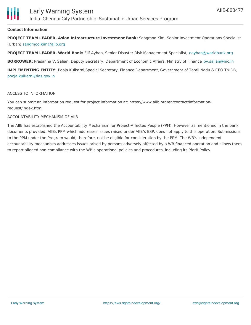# **Contact Information**

**PROJECT TEAM LEADER, Asian Infrastructure Investment Bank:** Sangmoo Kim, Senior Investment Operations Specialist (Urban) [sangmoo.kim@aiib.org](mailto:sangmoo.kim@aiib.org)

**PROJECT TEAM LEADER, World Bank:** Elif Ayhan, Senior Disaster Risk Management Specialist, [eayhan@worldbank.org](mailto:eayhan@worldbank.org)

**BORROWER:** Prasanna V. Salian, Deputy Secretary, Department of Economic Affairs, Ministry of Finance [pv.salian@nic.in](mailto:pv.salian@nic.in)

**IMPLEMENTING ENTITY:** Pooja Kulkarni,Special Secretary, Finance Department, Government of Tamil Nadu & CEO TNIDB, [pooja.kulkarni@ias.gov.in](mailto:pooja.kulkarni@ias.gov.in)

#### ACCESS TO INFORMATION

You can submit an information request for project information at: https://www.aiib.org/en/contact/informationrequest/index.html

#### ACCOUNTABILITY MECHANISM OF AIIB

The AIIB has established the Accountability Mechanism for Project-Affected People (PPM). However as mentioned in the bank documents provided, AIIBs PPM which addresses issues raised under AIIB's ESP, does not apply to this operation. Submissions to the PPM under the Program would, therefore, not be eligible for consideration by the PPM. The WB's independent accountability mechanism addresses issues raised by persons adversely affected by a WB financed operation and allows them to report alleged non-compliance with the WB's operational policies and procedures, including its PforR Policy.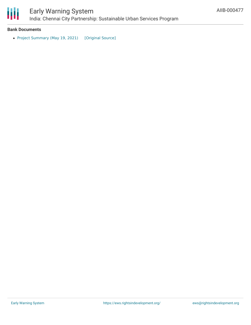

# **Bank Documents**

• Project [Summary](https://ewsdata.rightsindevelopment.org/files/documents/77/AIIB-000477.pdf) (May 19, 2021) [\[Original](https://www.aiib.org/en/projects/details/2021/_download/india/summary/AIIB-PSI-P000477-India-Chennai-City-Partnership-19-May-2021.pdf) Source]